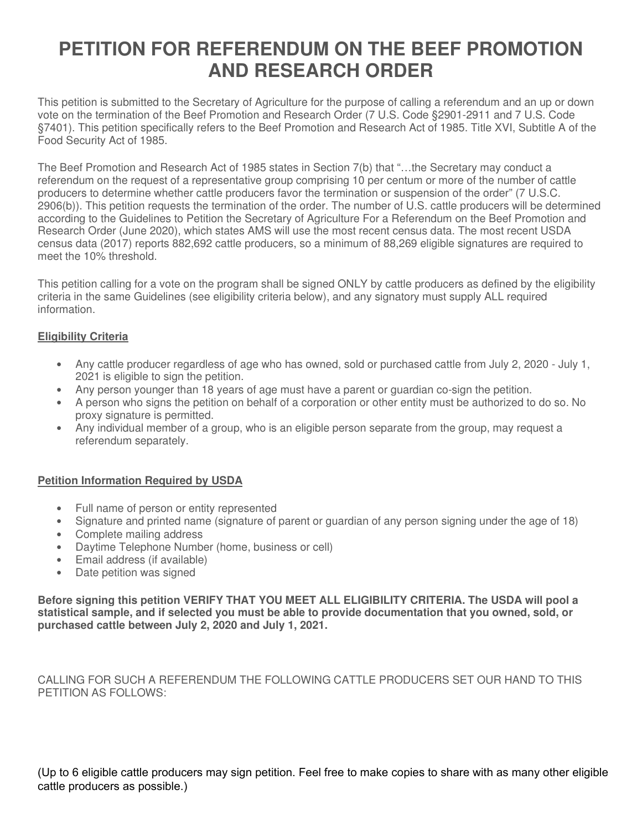# **PETITION FOR REFERENDUM ON THE BEEF PROMOTION AND RESEARCH ORDER**

This petition is submitted to the Secretary of Agriculture for the purpose of calling a referendum and an up or down vote on the termination of the Beef Promotion and Research Order (7 U.S. Code §2901-2911 and 7 U.S. Code §7401). This petition specifically refers to the Beef Promotion and Research Act of 1985. Title XVI, Subtitle A of the Food Security Act of 1985.

The Beef Promotion and Research Act of 1985 states in Section 7(b) that "…the Secretary may conduct a referendum on the request of a representative group comprising 10 per centum or more of the number of cattle producers to determine whether cattle producers favor the termination or suspension of the order" (7 U.S.C. 2906(b)). This petition requests the termination of the order. The number of U.S. cattle producers will be determined according to the Guidelines to Petition the Secretary of Agriculture For a Referendum on the Beef Promotion and Research Order (June 2020), which states AMS will use the most recent census data. The most recent USDA census data (2017) reports 882,692 cattle producers, so a minimum of 88,269 eligible signatures are required to meet the 10% threshold.

This petition calling for a vote on the program shall be signed ONLY by cattle producers as defined by the eligibility criteria in the same Guidelines (see eligibility criteria below), and any signatory must supply ALL required information.

#### **Eligibility Criteria**

- Any cattle producer regardless of age who has owned, sold or purchased cattle from July 2, 2020 July 1, 2021 is eligible to sign the petition.
- Any person younger than 18 years of age must have a parent or quardian co-sign the petition.
- A person who signs the petition on behalf of a corporation or other entity must be authorized to do so. No proxy signature is permitted.
- Any individual member of a group, who is an eligible person separate from the group, may request a referendum separately.

#### **Petition Information Required by USDA**

- Full name of person or entity represented
- Signature and printed name (signature of parent or guardian of any person signing under the age of 18)
- Complete mailing address
- Daytime Telephone Number (home, business or cell)
- Email address (if available)
- Date petition was signed

**Before signing this petition VERIFY THAT YOU MEET ALL ELIGIBILITY CRITERIA. The USDA will pool a statistical sample, and if selected you must be able to provide documentation that you owned, sold, or purchased cattle between July 2, 2020 and July 1, 2021.**

CALLING FOR SUCH A REFERENDUM THE FOLLOWING CATTLE PRODUCERS SET OUR HAND TO THIS PETITION AS FOLLOWS:

(Up to 6 eligible cattle producers may sign petition. Feel free to make copies to share with as many other eligible cattle producers as possible.)